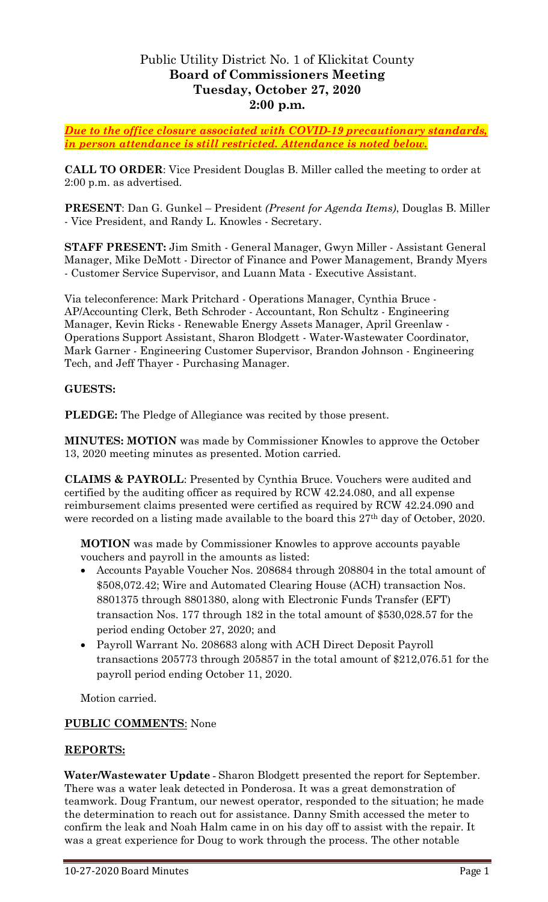# Public Utility District No. 1 of Klickitat County **Board of Commissioners Meeting Tuesday, October 27, 2020 2:00 p.m.**

*Due to the office closure associated with COVID-19 precautionary standards, in person attendance is still restricted. Attendance is noted below.*

**CALL TO ORDER**: Vice President Douglas B. Miller called the meeting to order at 2:00 p.m. as advertised.

**PRESENT**: Dan G. Gunkel – President *(Present for Agenda Items)*, Douglas B. Miller - Vice President, and Randy L. Knowles - Secretary.

**STAFF PRESENT:** Jim Smith - General Manager, Gwyn Miller - Assistant General Manager, Mike DeMott - Director of Finance and Power Management, Brandy Myers - Customer Service Supervisor, and Luann Mata - Executive Assistant.

Via teleconference: Mark Pritchard - Operations Manager, Cynthia Bruce - AP/Accounting Clerk, Beth Schroder - Accountant, Ron Schultz - Engineering Manager, Kevin Ricks - Renewable Energy Assets Manager, April Greenlaw - Operations Support Assistant, Sharon Blodgett - Water-Wastewater Coordinator, Mark Garner - Engineering Customer Supervisor, Brandon Johnson - Engineering Tech, and Jeff Thayer - Purchasing Manager.

### **GUESTS:**

**PLEDGE:** The Pledge of Allegiance was recited by those present.

**MINUTES: MOTION** was made by Commissioner Knowles to approve the October 13, 2020 meeting minutes as presented. Motion carried.

**CLAIMS & PAYROLL**: Presented by Cynthia Bruce. Vouchers were audited and certified by the auditing officer as required by RCW 42.24.080, and all expense reimbursement claims presented were certified as required by RCW 42.24.090 and were recorded on a listing made available to the board this 27<sup>th</sup> day of October, 2020.

**MOTION** was made by Commissioner Knowles to approve accounts payable vouchers and payroll in the amounts as listed:

- Accounts Payable Voucher Nos. 208684 through 208804 in the total amount of \$508,072.42; Wire and Automated Clearing House (ACH) transaction Nos. 8801375 through 8801380, along with Electronic Funds Transfer (EFT) transaction Nos. 177 through 182 in the total amount of \$530,028.57 for the period ending October 27, 2020; and
- Payroll Warrant No. 208683 along with ACH Direct Deposit Payroll transactions 205773 through 205857 in the total amount of \$212,076.51 for the payroll period ending October 11, 2020.

Motion carried.

## **PUBLIC COMMENTS**: None

#### **REPORTS:**

**Water/Wastewater Update -** Sharon Blodgett presented the report for September. There was a water leak detected in Ponderosa. It was a great demonstration of teamwork. Doug Frantum, our newest operator, responded to the situation; he made the determination to reach out for assistance. Danny Smith accessed the meter to confirm the leak and Noah Halm came in on his day off to assist with the repair. It was a great experience for Doug to work through the process. The other notable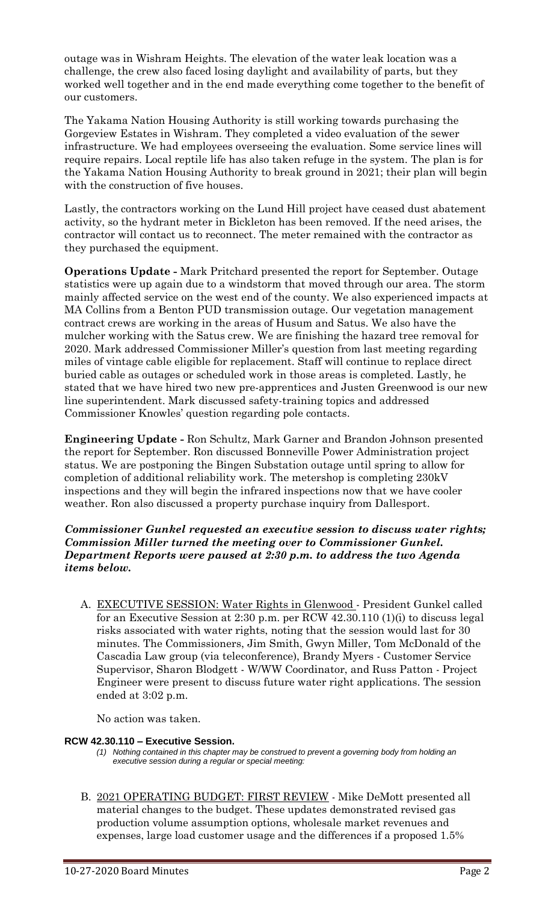outage was in Wishram Heights. The elevation of the water leak location was a challenge, the crew also faced losing daylight and availability of parts, but they worked well together and in the end made everything come together to the benefit of our customers.

The Yakama Nation Housing Authority is still working towards purchasing the Gorgeview Estates in Wishram. They completed a video evaluation of the sewer infrastructure. We had employees overseeing the evaluation. Some service lines will require repairs. Local reptile life has also taken refuge in the system. The plan is for the Yakama Nation Housing Authority to break ground in 2021; their plan will begin with the construction of five houses.

Lastly, the contractors working on the Lund Hill project have ceased dust abatement activity, so the hydrant meter in Bickleton has been removed. If the need arises, the contractor will contact us to reconnect. The meter remained with the contractor as they purchased the equipment.

**Operations Update -** Mark Pritchard presented the report for September. Outage statistics were up again due to a windstorm that moved through our area. The storm mainly affected service on the west end of the county. We also experienced impacts at MA Collins from a Benton PUD transmission outage. Our vegetation management contract crews are working in the areas of Husum and Satus. We also have the mulcher working with the Satus crew. We are finishing the hazard tree removal for 2020. Mark addressed Commissioner Miller's question from last meeting regarding miles of vintage cable eligible for replacement. Staff will continue to replace direct buried cable as outages or scheduled work in those areas is completed. Lastly, he stated that we have hired two new pre-apprentices and Justen Greenwood is our new line superintendent. Mark discussed safety-training topics and addressed Commissioner Knowles' question regarding pole contacts.

**Engineering Update -** Ron Schultz, Mark Garner and Brandon Johnson presented the report for September. Ron discussed Bonneville Power Administration project status. We are postponing the Bingen Substation outage until spring to allow for completion of additional reliability work. The metershop is completing 230kV inspections and they will begin the infrared inspections now that we have cooler weather. Ron also discussed a property purchase inquiry from Dallesport.

*Commissioner Gunkel requested an executive session to discuss water rights; Commission Miller turned the meeting over to Commissioner Gunkel. Department Reports were paused at 2:30 p.m. to address the two Agenda items below.* 

A. EXECUTIVE SESSION: Water Rights in Glenwood - President Gunkel called for an Executive Session at 2:30 p.m. per RCW 42.30.110 (1)(i) to discuss legal risks associated with water rights, noting that the session would last for 30 minutes. The Commissioners, Jim Smith, Gwyn Miller, Tom McDonald of the Cascadia Law group (via teleconference), Brandy Myers - Customer Service Supervisor, Sharon Blodgett - W/WW Coordinator, and Russ Patton - Project Engineer were present to discuss future water right applications. The session ended at 3:02 p.m.

No action was taken.

#### **RCW 42.30.110 – Executive Session.**

- *(1) Nothing contained in this chapter may be construed to prevent a governing body from holding an executive session during a regular or special meeting:*
- B. 2021 OPERATING BUDGET: FIRST REVIEW Mike DeMott presented all material changes to the budget. These updates demonstrated revised gas production volume assumption options, wholesale market revenues and expenses, large load customer usage and the differences if a proposed 1.5%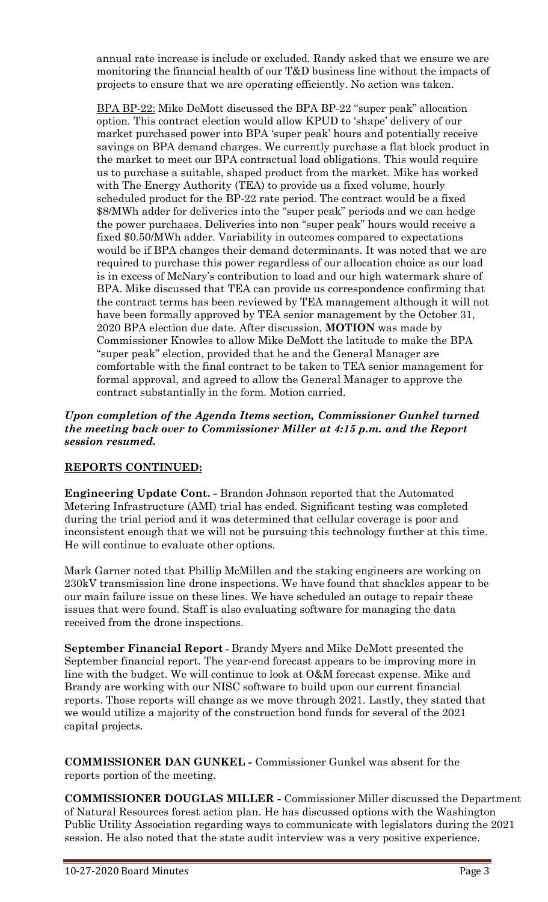annual rate increase is include or excluded. Randy asked that we ensure we are monitoring the financial health of our T&D business line without the impacts of projects to ensure that we are operating efficiently. No action was taken.

BPA BP-22: Mike DeMott discussed the BPA BP-22 "super peak" allocation option. This contract election would allow KPUD to 'shape' delivery of our market purchased power into BPA 'super peak' hours and potentially receive savings on BPA demand charges. We currently purchase a flat block product in the market to meet our BPA contractual load obligations. This would require us to purchase a suitable, shaped product from the market. Mike has worked with The Energy Authority (TEA) to provide us a fixed volume, hourly scheduled product for the BP-22 rate period. The contract would be a fixed \$8/MWh adder for deliveries into the "super peak" periods and we can hedge the power purchases. Deliveries into non "super peak" hours would receive a fixed \$0.50/MWh adder. Variability in outcomes compared to expectations would be if BPA changes their demand determinants. It was noted that we are required to purchase this power regardless of our allocation choice as our load is in excess of McNary's contribution to load and our high watermark share of BPA. Mike discussed that TEA can provide us correspondence confirming that the contract terms has been reviewed by TEA management although it will not have been formally approved by TEA senior management by the October 31, 2020 BPA election due date. After discussion, **MOTION** was made by Commissioner Knowles to allow Mike DeMott the latitude to make the BPA "super peak" election, provided that he and the General Manager are comfortable with the final contract to be taken to TEA senior management for formal approval, and agreed to allow the General Manager to approve the contract substantially in the form. Motion carried.

#### *Upon completion of the Agenda Items section, Commissioner Gunkel turned the meeting back over to Commissioner Miller at 4:15 p.m. and the Report session resumed.*

## **REPORTS CONTINUED:**

**Engineering Update Cont. -** Brandon Johnson reported that the Automated Metering Infrastructure (AMI) trial has ended. Significant testing was completed during the trial period and it was determined that cellular coverage is poor and inconsistent enough that we will not be pursuing this technology further at this time. He will continue to evaluate other options.

Mark Garner noted that Phillip McMillen and the staking engineers are working on 230kV transmission line drone inspections. We have found that shackles appear to be our main failure issue on these lines. We have scheduled an outage to repair these issues that were found. Staff is also evaluating software for managing the data received from the drone inspections.

**September Financial Report -** Brandy Myers and Mike DeMott presented the September financial report. The year-end forecast appears to be improving more in line with the budget. We will continue to look at O&M forecast expense. Mike and Brandy are working with our NISC software to build upon our current financial reports. Those reports will change as we move through 2021. Lastly, they stated that we would utilize a majority of the construction bond funds for several of the 2021 capital projects.

**COMMISSIONER DAN GUNKEL -** Commissioner Gunkel was absent for the reports portion of the meeting.

**COMMISSIONER DOUGLAS MILLER -** Commissioner Miller discussed the Department of Natural Resources forest action plan. He has discussed options with the Washington Public Utility Association regarding ways to communicate with legislators during the 2021 session. He also noted that the state audit interview was a very positive experience.